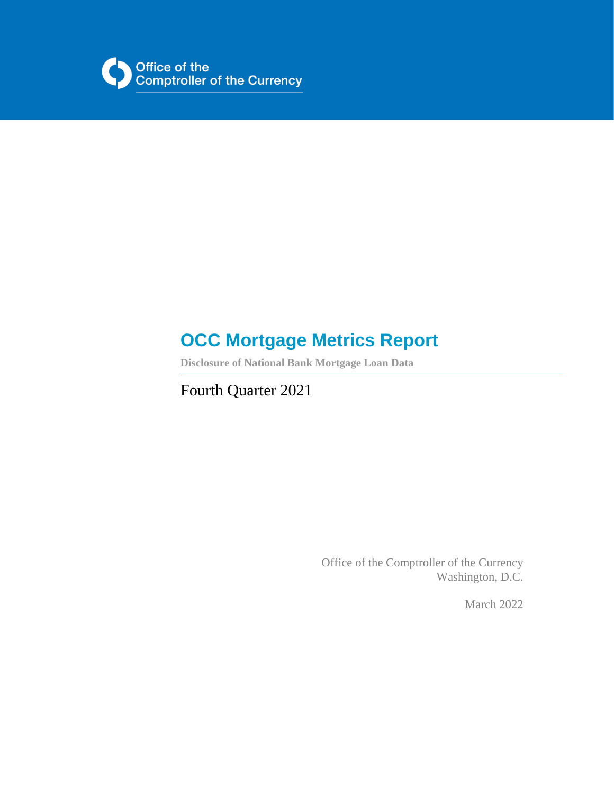

# **OCC Mortgage Metrics Report**

**Disclosure of National Bank Mortgage Loan Data**

Fourth Quarter 2021

Office of the Comptroller of the Currency Washington, D.C.

March 2022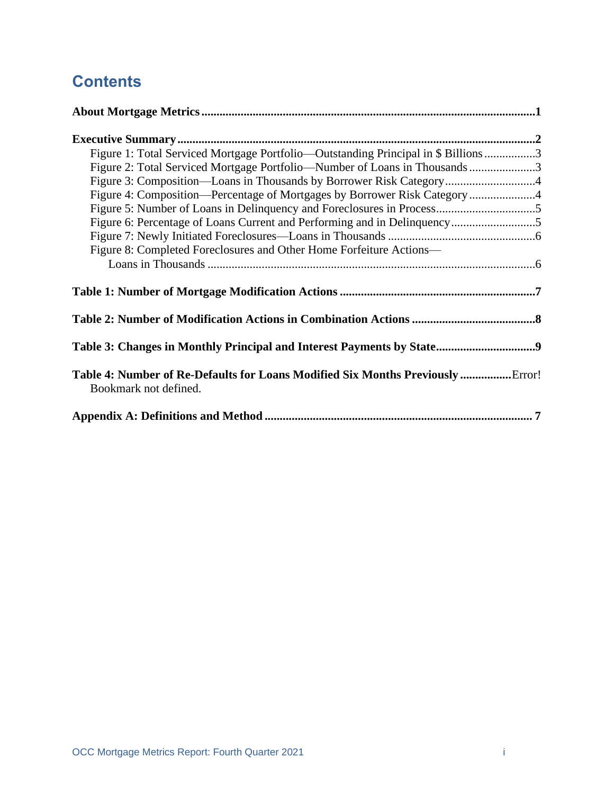## **Contents**

| Figure 1: Total Serviced Mortgage Portfolio—Outstanding Principal in \$ Billions3                       |  |
|---------------------------------------------------------------------------------------------------------|--|
| Figure 2: Total Serviced Mortgage Portfolio—Number of Loans in Thousands 3                              |  |
| Figure 3: Composition—Loans in Thousands by Borrower Risk Category4                                     |  |
| Figure 4: Composition—Percentage of Mortgages by Borrower Risk Category 4                               |  |
|                                                                                                         |  |
|                                                                                                         |  |
|                                                                                                         |  |
| Figure 8: Completed Foreclosures and Other Home Forfeiture Actions-                                     |  |
|                                                                                                         |  |
|                                                                                                         |  |
|                                                                                                         |  |
|                                                                                                         |  |
|                                                                                                         |  |
|                                                                                                         |  |
|                                                                                                         |  |
|                                                                                                         |  |
| Table 4: Number of Re-Defaults for Loans Modified Six Months Previously Error!<br>Bookmark not defined. |  |
|                                                                                                         |  |
|                                                                                                         |  |
|                                                                                                         |  |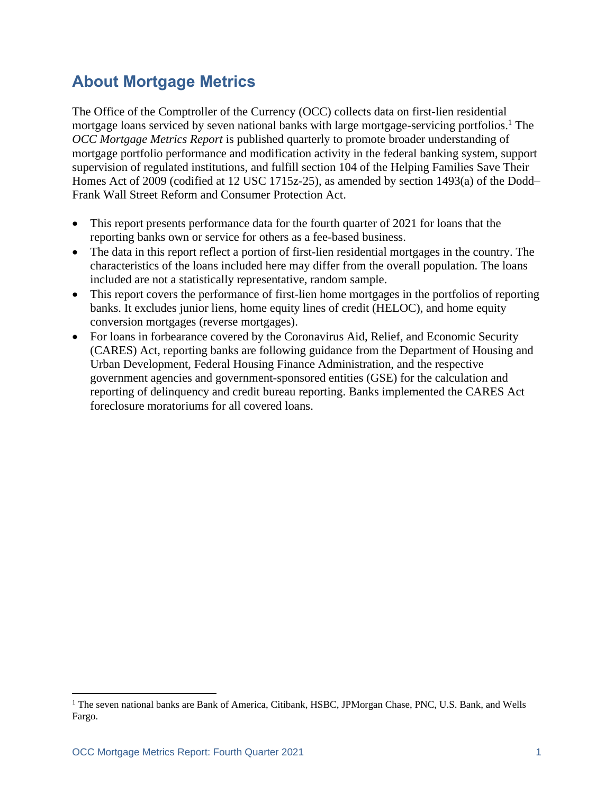### <span id="page-2-0"></span>**About Mortgage Metrics**

The Office of the Comptroller of the Currency (OCC) collects data on first-lien residential mortgage loans serviced by seven national banks with large mortgage-servicing portfolios.<sup>1</sup> The *OCC Mortgage Metrics Report* is published quarterly to promote broader understanding of mortgage portfolio performance and modification activity in the federal banking system, support supervision of regulated institutions, and fulfill section 104 of the Helping Families Save Their Homes Act of 2009 (codified at 12 USC 1715z-25), as amended by section 1493(a) of the Dodd– Frank Wall Street Reform and Consumer Protection Act.

- This report presents performance data for the fourth quarter of 2021 for loans that the reporting banks own or service for others as a fee-based business.
- The data in this report reflect a portion of first-lien residential mortgages in the country. The characteristics of the loans included here may differ from the overall population. The loans included are not a statistically representative, random sample.
- This report covers the performance of first-lien home mortgages in the portfolios of reporting banks. It excludes junior liens, home equity lines of credit (HELOC), and home equity conversion mortgages (reverse mortgages).
- For loans in forbearance covered by the Coronavirus Aid, Relief, and Economic Security (CARES) Act, reporting banks are following guidance from the Department of Housing and Urban Development, Federal Housing Finance Administration, and the respective government agencies and government-sponsored entities (GSE) for the calculation and reporting of delinquency and credit bureau reporting. Banks implemented the CARES Act foreclosure moratoriums for all covered loans.

<sup>&</sup>lt;sup>1</sup> The seven national banks are Bank of America, Citibank, HSBC, JPMorgan Chase, PNC, U.S. Bank, and Wells Fargo.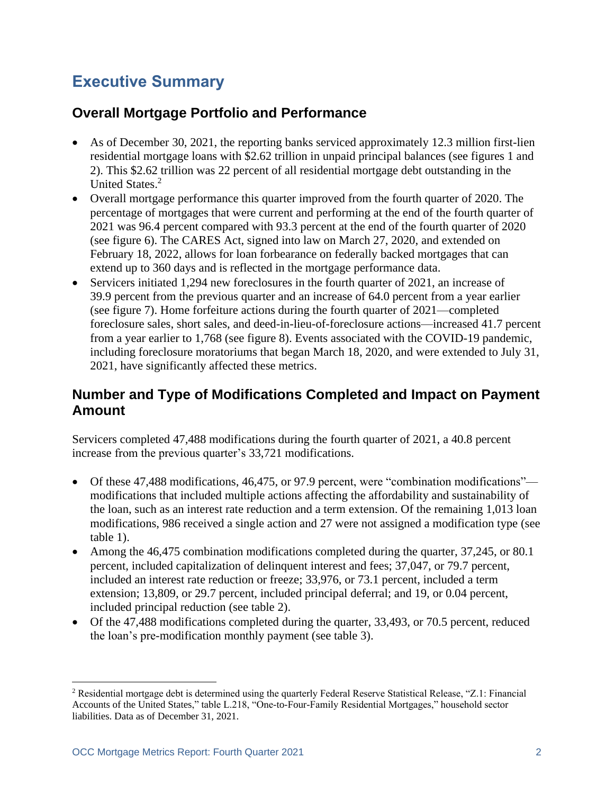## <span id="page-3-0"></span>**Executive Summary**

### **Overall Mortgage Portfolio and Performance**

- As of December 30, 2021, the reporting banks serviced approximately 12.3 million first-lien residential mortgage loans with \$2.62 trillion in unpaid principal balances (see figures 1 and 2). This \$2.62 trillion was 22 percent of all residential mortgage debt outstanding in the United States.<sup>2</sup>
- Overall mortgage performance this quarter improved from the fourth quarter of 2020. The percentage of mortgages that were current and performing at the end of the fourth quarter of 2021 was 96.4 percent compared with 93.3 percent at the end of the fourth quarter of 2020 (see figure 6). The CARES Act, signed into law on March 27, 2020, and extended on February 18, 2022, allows for loan forbearance on federally backed mortgages that can extend up to 360 days and is reflected in the mortgage performance data.
- Servicers initiated 1,294 new foreclosures in the fourth quarter of 2021, an increase of 39.9 percent from the previous quarter and an increase of 64.0 percent from a year earlier (see figure 7). Home forfeiture actions during the fourth quarter of 2021—completed foreclosure sales, short sales, and deed-in-lieu-of-foreclosure actions—increased 41.7 percent from a year earlier to 1,768 (see figure 8). Events associated with the COVID-19 pandemic, including foreclosure moratoriums that began March 18, 2020, and were extended to July 31, 2021, have significantly affected these metrics.

#### **Number and Type of Modifications Completed and Impact on Payment Amount**

Servicers completed 47,488 modifications during the fourth quarter of 2021, a 40.8 percent increase from the previous quarter's 33,721 modifications.

- Of these 47,488 modifications, 46,475, or 97.9 percent, were "combination modifications" modifications that included multiple actions affecting the affordability and sustainability of the loan, such as an interest rate reduction and a term extension. Of the remaining 1,013 loan modifications, 986 received a single action and 27 were not assigned a modification type (see table 1).
- Among the 46,475 combination modifications completed during the quarter, 37,245, or 80.1 percent, included capitalization of delinquent interest and fees; 37,047, or 79.7 percent, included an interest rate reduction or freeze; 33,976, or 73.1 percent, included a term extension; 13,809, or 29.7 percent, included principal deferral; and 19, or 0.04 percent, included principal reduction (see table 2).
- Of the 47,488 modifications completed during the quarter, 33,493, or 70.5 percent, reduced the loan's pre-modification monthly payment (see table 3).

<sup>2</sup> Residential mortgage debt is determined using the quarterly Federal Reserve Statistical Release, "Z.1: Financial Accounts of the United States," table L.218, "One-to-Four-Family Residential Mortgages," household sector liabilities. Data as of December 31, 2021.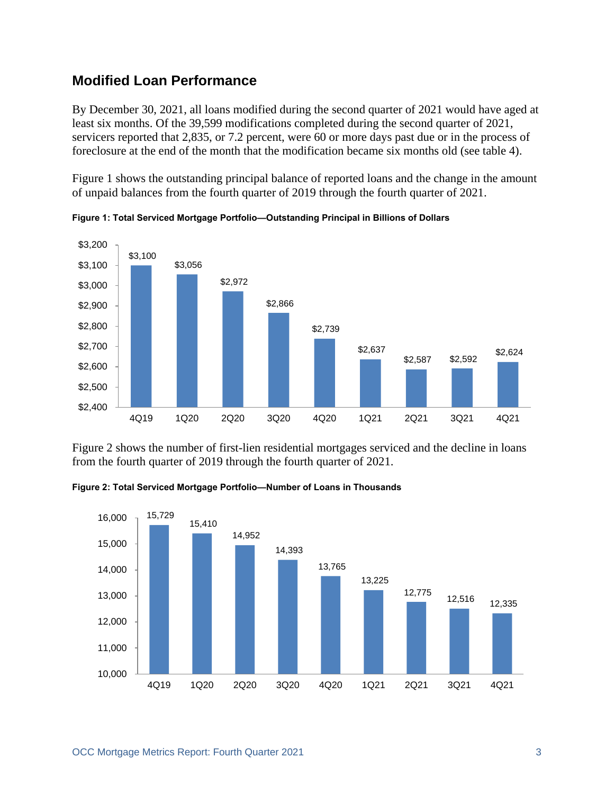#### **Modified Loan Performance**

By December 30, 2021, all loans modified during the second quarter of 2021 would have aged at least six months. Of the 39,599 modifications completed during the second quarter of 2021, servicers reported that 2,835, or 7.2 percent, were 60 or more days past due or in the process of foreclosure at the end of the month that the modification became six months old (see table 4).

Figure 1 shows the outstanding principal balance of reported loans and the change in the amount of unpaid balances from the fourth quarter of 2019 through the fourth quarter of 2021.



<span id="page-4-0"></span>**Figure 1: Total Serviced Mortgage Portfolio—Outstanding Principal in Billions of Dollars**

Figure 2 shows the number of first-lien residential mortgages serviced and the decline in loans from the fourth quarter of 2019 through the fourth quarter of 2021.

<span id="page-4-1"></span>**Figure 2: Total Serviced Mortgage Portfolio—Number of Loans in Thousands**

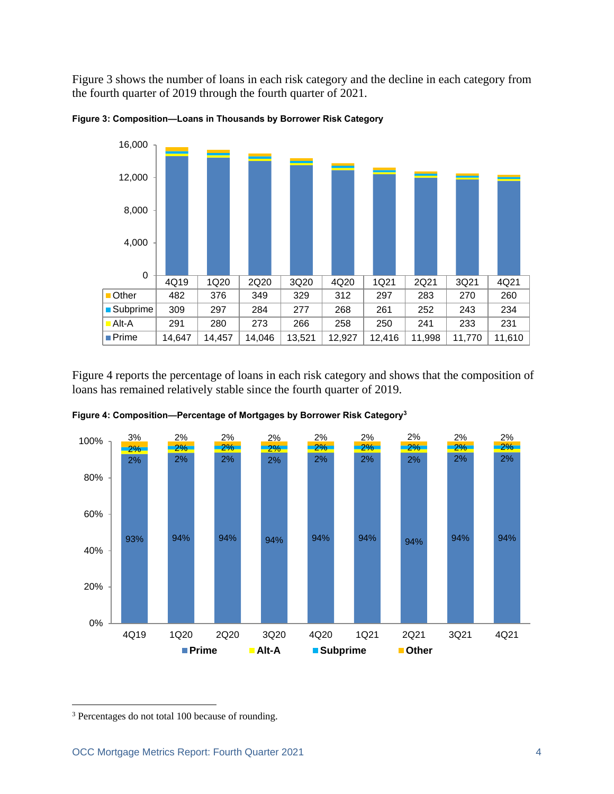Figure 3 shows the number of loans in each risk category and the decline in each category from the fourth quarter of 2019 through the fourth quarter of 2021.



<span id="page-5-0"></span>

Figure 4 reports the percentage of loans in each risk category and shows that the composition of loans has remained relatively stable since the fourth quarter of 2019.



<span id="page-5-1"></span>**Figure 4: Composition—Percentage of Mortgages by Borrower Risk Category<sup>3</sup>**

<sup>3</sup> Percentages do not total 100 because of rounding.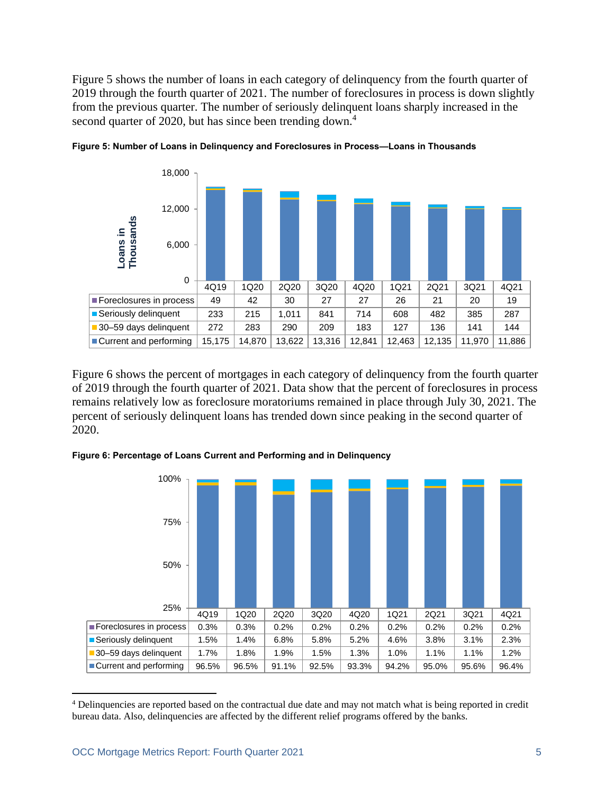Figure 5 shows the number of loans in each category of delinquency from the fourth quarter of 2019 through the fourth quarter of 2021. The number of foreclosures in process is down slightly from the previous quarter. The number of seriously delinquent loans sharply increased in the second quarter of 2020, but has since been trending down.<sup>4</sup>



<span id="page-6-0"></span>

Figure 6 shows the percent of mortgages in each category of delinquency from the fourth quarter of 2019 through the fourth quarter of 2021. Data show that the percent of foreclosures in process remains relatively low as foreclosure moratoriums remained in place through July 30, 2021. The percent of seriously delinquent loans has trended down since peaking in the second quarter of 2020.



<span id="page-6-1"></span>**Figure 6: Percentage of Loans Current and Performing and in Delinquency**

<sup>&</sup>lt;sup>4</sup> Delinquencies are reported based on the contractual due date and may not match what is being reported in credit bureau data. Also, delinquencies are affected by the different relief programs offered by the banks.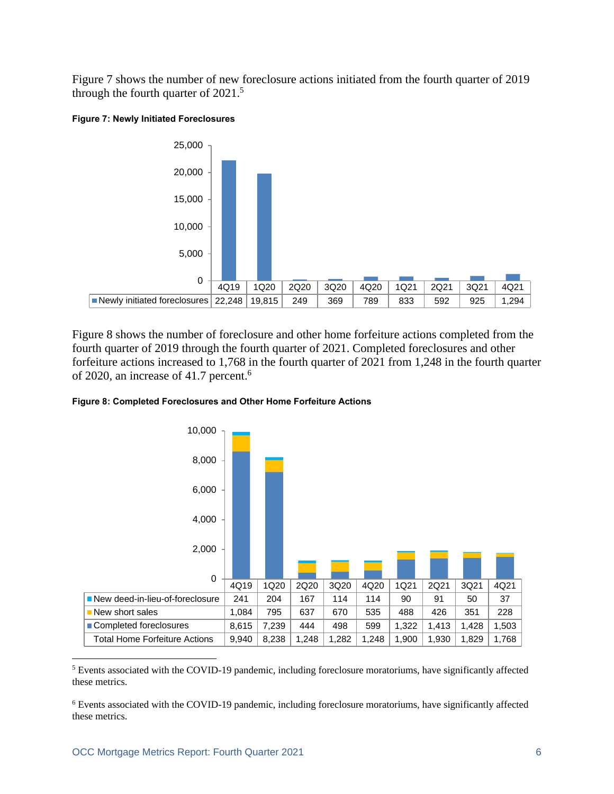Figure 7 shows the number of new foreclosure actions initiated from the fourth quarter of 2019 through the fourth quarter of 2021.<sup>5</sup>

#### <span id="page-7-0"></span>**Figure 7: Newly Initiated Foreclosures**



Figure 8 shows the number of foreclosure and other home forfeiture actions completed from the fourth quarter of 2019 through the fourth quarter of 2021. Completed foreclosures and other forfeiture actions increased to 1,768 in the fourth quarter of 2021 from 1,248 in the fourth quarter of 2020, an increase of 41.7 percent. 6

<span id="page-7-1"></span>



<sup>5</sup> Events associated with the COVID-19 pandemic, including foreclosure moratoriums, have significantly affected these metrics.

<sup>6</sup> Events associated with the COVID-19 pandemic, including foreclosure moratoriums, have significantly affected these metrics.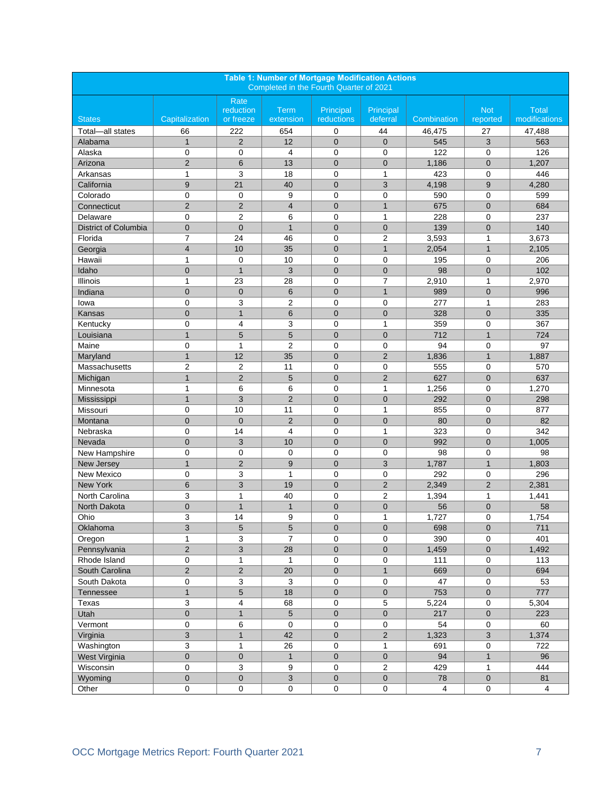<span id="page-8-1"></span><span id="page-8-0"></span>

| <b>Table 1: Number of Mortgage Modification Actions</b><br>Completed in the Fourth Quarter of 2021 |                |                   |                |                |                |                |                |                |
|----------------------------------------------------------------------------------------------------|----------------|-------------------|----------------|----------------|----------------|----------------|----------------|----------------|
|                                                                                                    |                | Rate<br>reduction | Term           | Principal      | Principal      |                | <b>Not</b>     | <b>Total</b>   |
| <b>States</b>                                                                                      | Capitalization | or freeze         | extension      | reductions     | deferral       | Combination    | reported       | modifications  |
| Total-all states                                                                                   | 66             | 222               | 654            | 0              | 44             | 46,475         | 27             | 47,488         |
| Alabama                                                                                            | $\mathbf{1}$   | $\overline{2}$    | 12             | $\overline{0}$ | $\overline{0}$ | 545            | 3              | 563            |
| Alaska                                                                                             | 0              | $\mathbf 0$       | $\overline{4}$ | $\mathbf 0$    | 0              | 122            | $\mathbf 0$    | 126            |
| Arizona                                                                                            | $\overline{2}$ | 6                 | 13             | $\mathbf 0$    | $\overline{0}$ | 1,186          | $\mathbf{0}$   | 1,207          |
| Arkansas                                                                                           | 1              | 3                 | 18             | 0              | 1              | 423            | 0              | 446            |
| California                                                                                         | 9              | 21                | 40             | $\mathbf 0$    | 3              | 4,198          | 9              | 4,280          |
| Colorado                                                                                           | 0              | 0                 | 9              | $\mathbf 0$    | 0              | 590            | $\mathbf 0$    | 599            |
| Connecticut                                                                                        | $\overline{2}$ | $\overline{2}$    | 4              | $\overline{0}$ | $\mathbf{1}$   | 675            | $\overline{0}$ | 684            |
| Delaware                                                                                           | 0              | $\overline{2}$    | 6              | $\mathbf 0$    | $\mathbf{1}$   | 228            | 0              | 237            |
| District of Columbia                                                                               | $\mathbf 0$    | $\mathbf{0}$      | $\mathbf{1}$   | $\overline{0}$ | $\mathbf 0$    | 139            | $\mathbf 0$    | 140            |
| Florida                                                                                            | 7              | 24                | 46             | 0              | $\overline{2}$ | 3,593          | 1              | 3,673          |
| Georgia                                                                                            | $\overline{4}$ | 10                | 35             | $\overline{0}$ | $\mathbf{1}$   | 2,054          | $\mathbf{1}$   | 2,105          |
| Hawaii                                                                                             | $\mathbf{1}$   | $\mathbf 0$       | 10             | $\mathbf 0$    | 0              | 195            | $\mathbf 0$    | 206            |
| Idaho                                                                                              | $\mathbf 0$    | $\mathbf{1}$      | 3              | $\overline{0}$ | 0              | 98             | $\mathbf 0$    | 102            |
| Illinois                                                                                           | 1              | 23                | 28             | $\mathbf 0$    | $\overline{7}$ | 2,910          | 1              | 2,970          |
| Indiana                                                                                            | $\overline{0}$ | $\overline{0}$    | $6\phantom{1}$ | $\mathbf 0$    | $\mathbf{1}$   | 989            | $\mathbf 0$    | 996            |
| lowa                                                                                               | 0              | 3                 | $\overline{2}$ | $\mathbf 0$    | $\mathbf 0$    | 277            | $\mathbf{1}$   | 283            |
| <b>Kansas</b>                                                                                      | $\overline{0}$ | $\mathbf{1}$      | 6              | $\mathbf 0$    | $\overline{0}$ | 328            | $\mathbf 0$    | 335            |
| Kentucky                                                                                           | 0              | 4                 | 3              | 0              | 1              | 359            | 0              | 367            |
| Louisiana                                                                                          | $\mathbf{1}$   | 5                 | 5              | $\overline{0}$ | $\overline{0}$ | 712            | $\mathbf{1}$   | 724            |
| Maine                                                                                              | 0              | $\mathbf{1}$      | $\overline{2}$ | $\mathbf 0$    | 0              | 94             | $\mathbf 0$    | 97             |
| Maryland                                                                                           | $\mathbf{1}$   | 12                | 35             | $\overline{0}$ | $\overline{2}$ | 1,836          | $\mathbf{1}$   | 1,887          |
| Massachusetts                                                                                      | 2              | $\overline{2}$    | 11             | $\mathbf 0$    | 0              | 555            | $\mathbf 0$    | 570            |
| Michigan                                                                                           | $\mathbf{1}$   | $\overline{2}$    | 5              | $\mathbf 0$    | $\overline{2}$ | 627            | $\mathbf 0$    | 637            |
| Minnesota                                                                                          | 1              | 6                 | 6              | 0              | $\mathbf{1}$   | 1,256          | 0              | 1,270          |
| Mississippi                                                                                        | $\mathbf{1}$   | 3                 | $\overline{2}$ | $\overline{0}$ | $\mathbf 0$    | 292            | $\overline{0}$ | 298            |
| Missouri                                                                                           | 0              | 10                | 11             | 0              | 1              | 855            | $\mathbf 0$    | 877            |
| Montana                                                                                            | $\mathbf 0$    | $\mathbf{0}$      | $\overline{2}$ | $\overline{0}$ | $\overline{0}$ | 80             | $\mathbf 0$    | 82             |
| Nebraska                                                                                           | $\mathbf 0$    | 14                | $\overline{4}$ | $\mathbf 0$    | $\mathbf{1}$   | 323            | 0              | 342            |
| Nevada                                                                                             | $\mathbf 0$    | 3                 | 10             | $\mathbf 0$    | $\overline{0}$ | 992            | $\mathbf 0$    | 1,005          |
| New Hampshire                                                                                      | 0              | $\mathbf 0$       | $\mathbf 0$    | $\mathbf 0$    | 0              | 98             | $\mathbf 0$    | 98             |
| New Jersey                                                                                         | $\mathbf{1}$   | $\overline{2}$    | 9              | $\mathbf 0$    | 3              | 1,787          | $\mathbf{1}$   | 1,803          |
| New Mexico                                                                                         | 0              | 3                 | 1              | $\mathbf 0$    | 0              | 292            | 0              | 296            |
| New York                                                                                           | 6              | 3                 | 19             | $\overline{0}$ | $\overline{2}$ | 2,349          | $\overline{2}$ | 2,381          |
| North Carolina                                                                                     | 3              | $\mathbf{1}$      | 40             | $\mathbf 0$    | $\overline{2}$ | 1,394          | $\mathbf{1}$   | 1,441          |
| North Dakota                                                                                       | $\overline{0}$ | $\mathbf{1}$      | $\mathbf{1}$   | $\mathbf 0$    | $\mathbf 0$    | 56             | $\mathbf 0$    | 58             |
| Ohio                                                                                               | 3              | 14                | 9              | $\Omega$       | $\mathbf{1}$   | 1,727          | $\Omega$       | 1,754          |
| Oklahoma                                                                                           | 3              | 5                 | $\sqrt{5}$     | $\mathbf 0$    | $\mathbf 0$    | 698            | $\mathbf 0$    | 711            |
| Oregon                                                                                             | 1              | 3                 | $\overline{7}$ | 0              | 0              | 390            | 0              | 401            |
| Pennsylvania                                                                                       | $\overline{2}$ | 3                 | 28             | $\pmb{0}$      | $\mathsf 0$    | 1,459          | $\pmb{0}$      | 1,492          |
| Rhode Island                                                                                       | 0              | $\mathbf{1}$      | $\mathbf{1}$   | $\pmb{0}$      | 0              | 111            | 0              | 113            |
| South Carolina                                                                                     | $\mathbf 2$    | $\mathbf{2}$      | 20             | $\mathbf 0$    | $\mathbf{1}$   | 669            | $\mathbf 0$    | 694            |
| South Dakota                                                                                       | 0              | 3                 | 3              | $\pmb{0}$      | 0              | 47             | $\mathbf 0$    | 53             |
| Tennessee                                                                                          | $\mathbf{1}$   | 5                 | 18             | $\mathbf 0$    | $\mathbf 0$    | 753            | $\mathbf 0$    | 777            |
| Texas                                                                                              | 3              | 4                 | 68             | $\pmb{0}$      | 5              | 5,224          | $\mathbf 0$    | 5,304          |
| Utah                                                                                               | 0              | $\mathbf{1}$      | 5              | $\mathbf{0}$   | 0              | 217            | $\mathbf 0$    | 223            |
| Vermont                                                                                            | 0              | 6                 | 0              | $\pmb{0}$      | $\pmb{0}$      | 54             | 0              | 60             |
| Virginia                                                                                           | 3              | $\mathbf{1}$      | 42             | $\pmb{0}$      | $\overline{2}$ | 1,323          | $\mathbf{3}$   | 1,374          |
| Washington                                                                                         | 3              | $\mathbf{1}$      | 26             | $\mathsf 0$    | $\mathbf{1}$   | 691            | $\mathbf 0$    | 722            |
| West Virginia                                                                                      | $\mathbf 0$    | $\mathbf 0$       | $\mathbf{1}$   | $\mathbf 0$    | $\mathbf 0$    | 94             | $\mathbf{1}$   | 96             |
| Wisconsin                                                                                          | 0              | 3                 | 9              | $\mathbf 0$    | 2              | 429            | $\mathbf{1}$   | 444            |
| Wyoming                                                                                            | $\pmb{0}$      | $\mathbf 0$       | $\overline{3}$ | $\mathbf 0$    | $\mathbf 0$    | ${\bf 78}$     | $\mathbf 0$    | 81             |
| Other                                                                                              | 0              | $\pmb{0}$         | 0              | $\pmb{0}$      | $\mathsf 0$    | $\overline{4}$ | $\mathbf 0$    | $\overline{4}$ |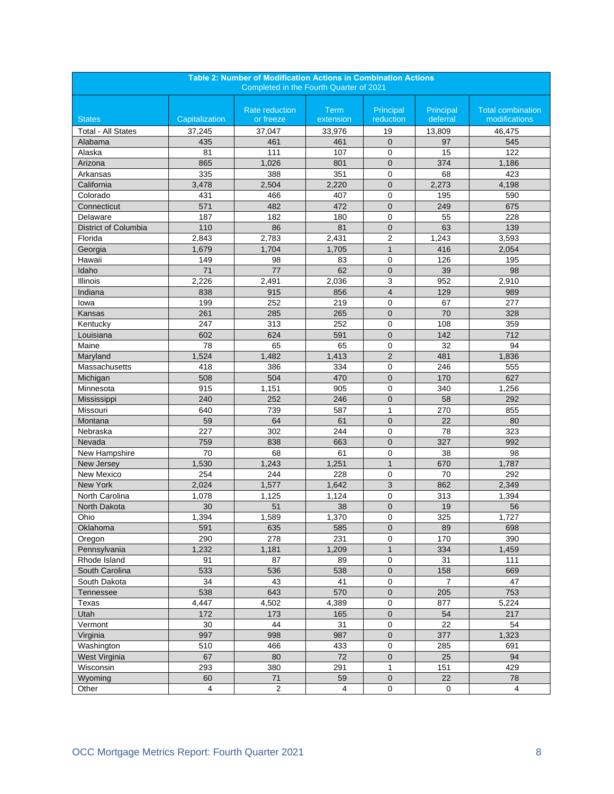<span id="page-9-0"></span>

| <b>Table 2: Number of Modification Actions in Combination Actions</b><br>Completed in the Fourth Quarter of 2021 |                  |                                    |                          |                        |                       |                                           |  |
|------------------------------------------------------------------------------------------------------------------|------------------|------------------------------------|--------------------------|------------------------|-----------------------|-------------------------------------------|--|
|                                                                                                                  |                  |                                    |                          |                        |                       |                                           |  |
| <b>States</b>                                                                                                    | Capitalization   | <b>Rate reduction</b><br>or freeze | <b>Term</b><br>extension | Principal<br>reduction | Principal<br>deferral | <b>Total combination</b><br>modifications |  |
| <b>Total - All States</b>                                                                                        | 37,245           | 37,047                             | 33,976                   | 19                     | 13,809                | 46,475                                    |  |
| Alabama                                                                                                          | 435              | 461                                | 461                      | $\overline{0}$         | 97                    | 545                                       |  |
| Alaska                                                                                                           | 81               | 111                                | 107                      | 0                      | 15                    | 122                                       |  |
| Arizona                                                                                                          | 865              | 1,026                              | 801                      | $\mathbf 0$            | 374                   | 1,186                                     |  |
| Arkansas                                                                                                         | 335              | 388                                | 351                      | $\mathbf 0$            | 68                    | 423                                       |  |
| California                                                                                                       | 3,478            | 2,504                              | 2,220                    | $\overline{0}$         | 2,273                 | 4,198                                     |  |
| Colorado                                                                                                         | 431              | 466                                | 407                      | 0                      | 195                   | 590                                       |  |
| Connecticut                                                                                                      | 571              | 482                                | 472                      | $\overline{0}$         | 249                   | 675                                       |  |
| Delaware                                                                                                         | 187              | 182                                | 180                      | 0                      | 55                    | 228                                       |  |
| District of Columbia                                                                                             | 110              | 86                                 | 81                       | $\mathbf 0$            | 63                    | 139                                       |  |
| Florida                                                                                                          | 2,843            | 2,783                              | 2,431                    | $\overline{2}$         | 1,243                 | 3,593                                     |  |
| Georgia                                                                                                          | 1,679            | 1,704                              | 1,705                    | $\mathbf{1}$           | 416                   | 2,054                                     |  |
| Hawaii                                                                                                           | 149              | 98                                 | 83                       | 0                      | 126                   | 195                                       |  |
| Idaho                                                                                                            | 71               | $77$                               | 62                       | $\overline{0}$         | 39                    | 98                                        |  |
| Illinois                                                                                                         | 2,226            | 2,491                              | 2,036                    | 3                      | 952                   | 2,910                                     |  |
| Indiana                                                                                                          | 838              | 915                                | 856                      | $\overline{4}$         | 129                   | 989                                       |  |
| lowa                                                                                                             | 199              | 252                                | 219                      | 0                      | 67                    | 277                                       |  |
| Kansas                                                                                                           | 261              | 285                                | 265                      | $\overline{0}$         | 70                    | 328                                       |  |
| Kentucky                                                                                                         | 247              | 313                                | 252                      | $\mathbf 0$            | 108                   | 359                                       |  |
| Louisiana                                                                                                        | 602              | 624                                | 591                      | $\mathbf 0$            | 142                   | 712                                       |  |
| Maine                                                                                                            | 78               | 65                                 | 65                       | 0                      | 32                    | 94                                        |  |
| Maryland                                                                                                         | 1,524            | 1,482                              | 1,413                    | $\overline{2}$         | 481                   | 1,836                                     |  |
| Massachusetts                                                                                                    | 418              | 386                                | 334                      | 0                      | 246                   | 555                                       |  |
| Michigan                                                                                                         | 508              | 504                                | 470                      | $\mathbf 0$            | 170                   | 627                                       |  |
| Minnesota                                                                                                        | $\overline{915}$ | 1,151                              | 905                      | 0                      | 340                   | 1,256                                     |  |
| Mississippi                                                                                                      | 240              | 252                                | 246                      | $\mathbf 0$            | 58                    | 292                                       |  |
| Missouri                                                                                                         | 640              | 739                                | 587                      | 1                      | 270                   | 855                                       |  |
| Montana                                                                                                          | 59               | 64                                 | 61                       | $\mathbf 0$            | 22                    | 80                                        |  |
| Nebraska                                                                                                         | 227              | 302                                | 244                      | 0                      | 78                    | 323                                       |  |
| Nevada                                                                                                           | 759              | 838                                | 663                      | $\overline{0}$         | 327                   | 992                                       |  |
| New Hampshire                                                                                                    | 70               | 68                                 | 61                       | 0                      | 38                    | 98                                        |  |
| New Jersey                                                                                                       | 1,530            | 1,243                              | 1,251                    | $\mathbf{1}$           | 670                   | 1,787                                     |  |
| New Mexico                                                                                                       | 254              | 244                                | 228                      | 0                      | 70                    | 292                                       |  |
| <b>New York</b>                                                                                                  | 2,024            | 1,577                              | 1,642                    | 3                      | 862                   | 2,349                                     |  |
| North Carolina                                                                                                   | 1,078            | 1,125                              | 1,124                    | $\mathbf 0$            | 313                   | 1,394                                     |  |
| North Dakota                                                                                                     | 30               | 51                                 | 38                       | $\overline{0}$         | 19                    | 56                                        |  |
| Ohio                                                                                                             | 1,394            | 1,589                              | 1,370                    | 0                      | 325                   | 1,727                                     |  |
| Oklahoma                                                                                                         | 591              | 635                                | 585                      | 0                      | 89                    | 698                                       |  |
| Oregon                                                                                                           | 290              | 278                                | 231                      | 0                      | 170                   | 390                                       |  |
| Pennsylvania                                                                                                     | 1,232            | 1,181                              | 1,209                    | $\mathbf{1}$           | 334                   | 1,459                                     |  |
| Rhode Island                                                                                                     | 91               | 87                                 | 89                       | 0                      | 31                    | 111                                       |  |
| South Carolina                                                                                                   | 533              | 536                                | 538                      | $\pmb{0}$              | 158                   | 669                                       |  |
| South Dakota                                                                                                     | 34               | 43                                 | 41                       | 0                      | $\overline{7}$        | 47                                        |  |
| Tennessee                                                                                                        | 538              | 643                                | 570                      | $\pmb{0}$              | 205                   | 753                                       |  |
| Texas                                                                                                            | 4,447            | 4,502                              | 4.389                    | 0                      | 877                   | 5,224                                     |  |
| Utah                                                                                                             | 172              | 173                                | 165                      | 0                      | 54                    | 217                                       |  |
| Vermont                                                                                                          | 30               | 44                                 | 31                       | 0                      | 22                    | 54                                        |  |
| Virginia                                                                                                         | 997              | 998                                | 987                      | $\mathbf 0$            | 377                   | 1,323                                     |  |
| Washington                                                                                                       | 510              | 466                                | 433                      | $\pmb{0}$              | 285                   | 691                                       |  |
| West Virginia                                                                                                    | 67               | 80                                 | 72                       | $\pmb{0}$              | 25                    | 94                                        |  |
| Wisconsin                                                                                                        | 293              | 380                                | 291                      | 1                      | 151                   | 429                                       |  |
| Wyoming                                                                                                          | 60               | 71                                 | 59                       | $\pmb{0}$              | 22                    | 78                                        |  |
| Other                                                                                                            | 4                | $\sqrt{2}$                         | $\overline{\mathbf{4}}$  | $\mathsf 0$            | $\mathbf 0$           | $\overline{4}$                            |  |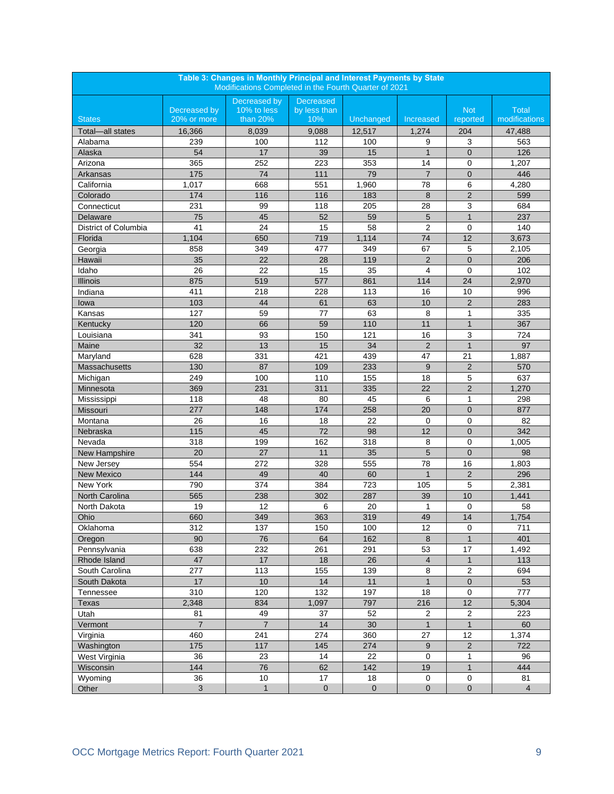<span id="page-10-0"></span>

| Table 3: Changes in Monthly Principal and Interest Payments by State<br>Modifications Completed in the Fourth Quarter of 2021 |                |                                |                                  |           |                |                |                |  |
|-------------------------------------------------------------------------------------------------------------------------------|----------------|--------------------------------|----------------------------------|-----------|----------------|----------------|----------------|--|
|                                                                                                                               | Decreased by   | Decreased by<br>$10\%$ to less | <b>Decreased</b><br>by less than |           |                | <b>Not</b>     | <b>Total</b>   |  |
| <b>States</b>                                                                                                                 | 20% or more    | than 20%                       | 10%                              | Unchanged | Increased      | reported       | modifications  |  |
| Total-all states                                                                                                              | 16,366         | 8,039                          | 9,088                            | 12,517    | 1,274          | 204            | 47,488         |  |
| Alabama                                                                                                                       | 239            | 100                            | 112                              | 100       | 9              | 3              | 563            |  |
| Alaska                                                                                                                        | 54             | 17                             | 39                               | 15        | $\mathbf{1}$   | $\overline{0}$ | 126            |  |
| Arizona                                                                                                                       | 365            | 252                            | 223                              | 353       | 14             | 0              | 1,207          |  |
| Arkansas                                                                                                                      | 175            | 74                             | 111                              | 79        | $\overline{7}$ | $\mathbf{0}$   | 446            |  |
| California                                                                                                                    | 1,017          | 668                            | 551                              | 1,960     | 78             | 6              | 4,280          |  |
| Colorado                                                                                                                      | 174            | 116                            | 116                              | 183       | 8              | $\overline{2}$ | 599            |  |
| Connecticut                                                                                                                   | 231            | 99                             | 118                              | 205       | 28             | 3              | 684            |  |
| Delaware                                                                                                                      | 75             | 45                             | 52                               | 59        | 5              | $\mathbf{1}$   | 237            |  |
| District of Columbia                                                                                                          | 41             | 24                             | 15                               | 58        | $\overline{2}$ | $\mathbf 0$    | 140            |  |
| Florida                                                                                                                       | 1,104          | 650                            | 719                              | 1,114     | 74             | 12             | 3,673          |  |
| Georgia                                                                                                                       | 858            | 349                            | 477                              | 349       | 67             | 5              | 2,105          |  |
| Hawaii                                                                                                                        | 35             | 22                             | 28                               | 119       | $\sqrt{2}$     | $\mathbf 0$    | 206            |  |
| Idaho                                                                                                                         | 26             | 22                             | 15                               | 35        | 4              | $\mathbf 0$    | 102            |  |
| <b>Illinois</b>                                                                                                               | 875            | 519                            | 577                              | 861       | 114            | 24             | 2,970          |  |
| Indiana                                                                                                                       | 411            | 218                            | 228                              | 113       | 16             | 10             | 996            |  |
| lowa                                                                                                                          | 103            | 44                             | 61                               | 63        | 10             | $\overline{2}$ | 283            |  |
| Kansas                                                                                                                        | 127            | 59                             | 77                               | 63        | 8              | 1              | 335            |  |
| Kentucky                                                                                                                      | 120            | 66                             | 59                               | 110       | 11             | $\mathbf{1}$   | 367            |  |
| Louisiana                                                                                                                     | 341            | 93                             | 150                              | 121       | 16             | 3              | 724            |  |
| Maine                                                                                                                         | 32             | 13                             | 15                               | 34        | $\overline{2}$ | $\overline{1}$ | 97             |  |
| Maryland                                                                                                                      | 628            | 331                            | 421                              | 439       | 47             | 21             | 1,887          |  |
| <b>Massachusetts</b>                                                                                                          | 130            | 87                             | 109                              | 233       | 9              | $\overline{2}$ | 570            |  |
| Michigan                                                                                                                      | 249            | 100                            | 110                              | 155       | 18             | 5              | 637            |  |
| Minnesota                                                                                                                     | 369            | 231                            | 311                              | 335       | 22             | $\overline{2}$ | 1,270          |  |
| Mississippi                                                                                                                   | 118            | 48                             | 80                               | 45        | 6              | $\mathbf{1}$   | 298            |  |
| Missouri                                                                                                                      | 277            | 148                            | 174                              | 258       | 20             | $\mathbf 0$    | 877            |  |
| Montana                                                                                                                       | 26             | 16                             | 18                               | 22        | $\mathbf 0$    | $\mathbf 0$    | 82             |  |
| Nebraska                                                                                                                      | 115            | 45                             | 72                               | 98        | 12             | $\mathbf 0$    | 342            |  |
| Nevada                                                                                                                        | 318            | 199                            | 162                              | 318       | 8              | $\mathbf 0$    | 1,005          |  |
| New Hampshire                                                                                                                 | 20             | 27                             | 11                               | 35        | 5              | $\overline{0}$ | 98             |  |
| New Jersey                                                                                                                    | 554            | 272                            | 328                              | 555       | 78             | 16             | 1,803          |  |
| <b>New Mexico</b>                                                                                                             | 144            | 49                             | 40                               | 60        | $\mathbf{1}$   | $\overline{2}$ | 296            |  |
| New York                                                                                                                      | 790            | 374                            | 384                              | 723       | 105            | 5              | 2.381          |  |
| North Carolina                                                                                                                | 565            | 238                            | 302                              | 287       | 39             | 10             | 1,441          |  |
| North Dakota                                                                                                                  | 19             | 12                             | 6                                | 20        | 1              | $\mathbf 0$    | 58             |  |
| Ohio                                                                                                                          | 660            | 349                            | 363                              | 319       | 49             | 14             | 1,754          |  |
| Oklahoma                                                                                                                      | 312            | 137                            | 150                              | 100       | 12             | $\pmb{0}$      | 711            |  |
| Oregon                                                                                                                        | 90             | 76                             | 64                               | 162       | $\bf 8$        | $\mathbf{1}$   | 401            |  |
| Pennsylvania                                                                                                                  | 638            | 232                            | 261                              | 291       | 53             | 17             | 1,492          |  |
| Rhode Island                                                                                                                  | 47             | 17                             | 18                               | 26        | $\overline{4}$ | $\mathbf{1}$   | 113            |  |
| South Carolina                                                                                                                | 277            | 113                            | 155                              | 139       | 8              | $\overline{c}$ | 694            |  |
| South Dakota                                                                                                                  | 17             | $10$                           | 14                               | 11        | $\mathbf{1}$   | $\pmb{0}$      | 53             |  |
| Tennessee                                                                                                                     | 310            | 120                            | 132                              | 197       | 18             | 0              | 777            |  |
| <b>Texas</b>                                                                                                                  | 2,348          | 834                            | 1,097                            | 797       | 216            | 12             | 5,304          |  |
| Utah                                                                                                                          | 81             | 49                             | 37                               | 52        | $\overline{2}$ | $\overline{c}$ | 223            |  |
| Vermont                                                                                                                       | $\overline{7}$ | $\overline{7}$                 | $14$                             | 30        | $\mathbf{1}$   | $\mathbf{1}$   | 60             |  |
| Virginia                                                                                                                      | 460            | 241                            | 274                              | 360       | 27             | 12             | 1,374          |  |
| Washington                                                                                                                    | 175            | 117                            | 145                              | 274       | $9\,$          | $\sqrt{2}$     | 722            |  |
| West Virginia                                                                                                                 | 36             | 23                             | 14                               | 22        | $\mathbf 0$    | 1              | 96             |  |
| Wisconsin                                                                                                                     | 144            | ${\bf 76}$                     | 62                               | 142       | 19             | $\mathbf{1}$   | 444            |  |
| Wyoming                                                                                                                       | 36             | 10                             | 17                               | $18\,$    | 0              | $\pmb{0}$      | 81             |  |
| Other                                                                                                                         | 3              | $\mathbf{1}$                   | $\pmb{0}$                        | $\pmb{0}$ | $\mathbf 0$    | $\pmb{0}$      | $\overline{4}$ |  |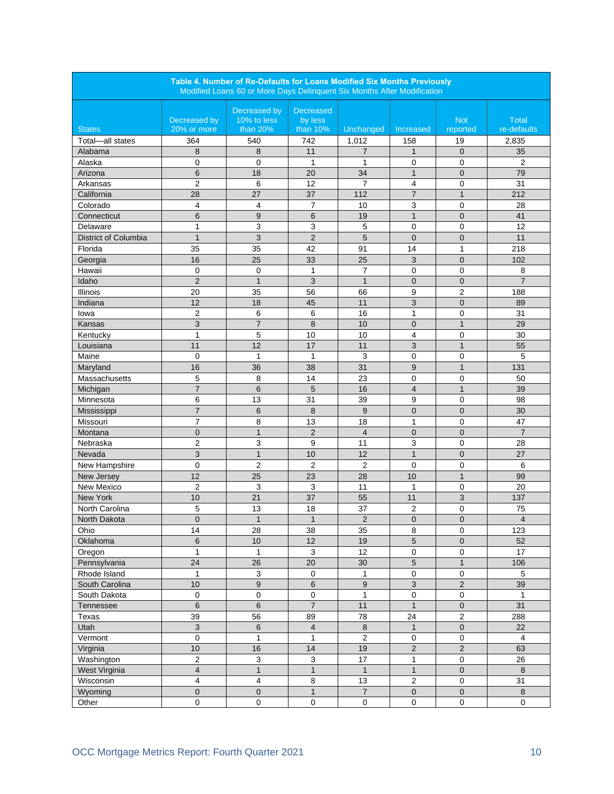| Table 4. Number of Re-Defaults for Loans Modified Six Months Previously<br>Modified Loans 60 or More Days Delinquent Six Months After Modification |                             |                                         |                                         |                  |                |                        |                             |  |
|----------------------------------------------------------------------------------------------------------------------------------------------------|-----------------------------|-----------------------------------------|-----------------------------------------|------------------|----------------|------------------------|-----------------------------|--|
| <b>States</b>                                                                                                                                      | Decreased by<br>20% or more | Decreased by<br>10% to less<br>than 20% | <b>Decreased</b><br>by less<br>than 10% | Unchanged        | Increased      | <b>Not</b><br>reported | <b>Total</b><br>re-defaults |  |
| Total-all states                                                                                                                                   | 364                         | 540                                     | 742                                     | 1,012            | 158            | 19                     | 2,835                       |  |
| Alabama                                                                                                                                            | 8                           | 8                                       | 11                                      | $\overline{7}$   | $\mathbf{1}$   | $\overline{0}$         | 35                          |  |
| Alaska                                                                                                                                             | $\mathbf 0$                 | 0                                       | 1                                       | $\mathbf{1}$     | 0              | 0                      | $\overline{2}$              |  |
| Arizona                                                                                                                                            | 6                           | 18                                      | 20                                      | 34               | $\mathbf{1}$   | $\overline{0}$         | 79                          |  |
| Arkansas                                                                                                                                           | $\overline{2}$              | 6                                       | 12                                      | $\overline{7}$   | 4              | $\mathbf 0$            | 31                          |  |
| California                                                                                                                                         | 28                          | 27                                      | 37                                      | 112              | $\overline{7}$ | $\mathbf{1}$           | 212                         |  |
| Colorado                                                                                                                                           | 4                           | 4                                       | 7                                       | 10               | 3              | 0                      | 28                          |  |
| Connecticut                                                                                                                                        | 6                           | 9                                       | 6                                       | 19               | $\mathbf{1}$   | $\overline{0}$         | 41                          |  |
| Delaware                                                                                                                                           | $\mathbf{1}$                | 3                                       | 3                                       | 5                | $\mathbf 0$    | $\mathbf 0$            | 12                          |  |
| District of Columbia                                                                                                                               | $\mathbf{1}$                | 3                                       | $\overline{2}$                          | 5                | $\mathbf{0}$   | $\overline{0}$         | 11                          |  |
| Florida                                                                                                                                            | 35                          | 35                                      | 42                                      | 91               | 14             | 1                      | 218                         |  |
| Georgia                                                                                                                                            | 16                          | 25                                      | 33                                      | 25               | 3              | $\overline{0}$         | 102                         |  |
| Hawaii                                                                                                                                             | 0                           | 0                                       | $\mathbf{1}$                            | $\overline{7}$   | 0              | 0                      | 8                           |  |
| Idaho                                                                                                                                              | $\overline{2}$              | $\mathbf{1}$                            | 3                                       | $\mathbf{1}$     | $\overline{0}$ | $\overline{0}$         | $\overline{7}$              |  |
| <b>Illinois</b>                                                                                                                                    | 20                          | 35                                      | 56                                      | 66               | 9              | $\overline{2}$         | 188                         |  |
| Indiana                                                                                                                                            | 12                          | 18                                      | 45                                      | 11               | 3              | $\mathbf{0}$           | 89                          |  |
| lowa                                                                                                                                               | $\overline{2}$              | 6                                       | 6                                       | 16               | $\mathbf{1}$   | 0                      | 31                          |  |
| Kansas                                                                                                                                             | 3                           | $\overline{\mathcal{I}}$                | 8                                       | 10               | $\mathbf 0$    | $\mathbf{1}$           | 29                          |  |
| Kentucky                                                                                                                                           | $\mathbf{1}$                | 5                                       | 10                                      | 10               | 4              | $\mathbf 0$            | 30                          |  |
| Louisiana                                                                                                                                          | 11                          | 12                                      | 17                                      | 11               | 3              | $\mathbf{1}$           | 55                          |  |
| Maine                                                                                                                                              |                             |                                         |                                         | 3                |                |                        | 5                           |  |
|                                                                                                                                                    | 0                           | 1                                       | 1                                       |                  | 0              | 0                      |                             |  |
| Maryland                                                                                                                                           | 16                          | 36                                      | 38                                      | 31               | 9              | $\mathbf{1}$           | 131                         |  |
| Massachusetts                                                                                                                                      | 5                           | 8                                       | 14                                      | 23               | 0              | 0                      | 50                          |  |
| Michigan                                                                                                                                           | $\overline{7}$              | 6                                       | 5                                       | 16               | $\overline{4}$ | $\mathbf{1}$           | 39                          |  |
| Minnesota                                                                                                                                          | 6                           | 13                                      | 31                                      | 39               | 9              | 0                      | 98                          |  |
| Mississippi                                                                                                                                        | $\overline{7}$              | 6                                       | 8                                       | 9                | $\overline{0}$ | $\overline{0}$         | 30                          |  |
| Missouri                                                                                                                                           | $\overline{7}$              | 8                                       | 13                                      | 18               | $\mathbf{1}$   | $\mathbf 0$            | 47                          |  |
| Montana                                                                                                                                            | $\mathbf 0$                 | $\mathbf{1}$                            | $\overline{2}$                          | $\overline{4}$   | $\mathbf 0$    | $\overline{0}$         | $\overline{7}$              |  |
| Nebraska                                                                                                                                           | $\overline{2}$              | 3                                       | 9                                       | 11               | 3              | 0                      | 28                          |  |
| Nevada                                                                                                                                             | 3                           | $\mathbf{1}$                            | 10                                      | 12               | $\mathbf{1}$   | $\overline{0}$         | 27                          |  |
| New Hampshire                                                                                                                                      | 0                           | $\overline{2}$                          | 2                                       | 2                | 0              | 0                      | 6                           |  |
| New Jersey                                                                                                                                         | 12                          | 25                                      | 23                                      | 28               | 10             | $\mathbf{1}$           | 99                          |  |
| New Mexico                                                                                                                                         | $\overline{2}$              | 3                                       | $\mathbf{3}$                            | 11               | $\mathbf{1}$   | 0                      | 20                          |  |
| New York                                                                                                                                           | 10                          | 21                                      | 37                                      | 55               | 11             | 3                      | 137                         |  |
| North Carolina                                                                                                                                     | 5                           | 13                                      | 18                                      | 37               | $\overline{2}$ | 0                      | 75                          |  |
| North Dakota                                                                                                                                       | $\mathbf 0$                 | $\mathbf{1}$                            | $\mathbf{1}$                            | $\overline{2}$   | $\mathbf 0$    | $\mathbf 0$            | $\overline{\mathcal{L}}$    |  |
| Ohio                                                                                                                                               | 14                          | 28                                      | 38                                      | 35               | 8              | $\mathbf 0$            | 123                         |  |
| Oklahoma                                                                                                                                           | $\,6\,$                     | 10                                      | 12                                      | 19               | 5              | $\mathbf 0$            | 52                          |  |
| Oregon                                                                                                                                             | $\mathbf{1}$                | $\mathbf{1}$                            | 3                                       | 12               | $\mathbf 0$    | $\mathsf 0$            | 17                          |  |
| Pennsylvania                                                                                                                                       | $\overline{24}$             | 26                                      | 20                                      | 30               | 5              | $\mathbf{1}$           | 106                         |  |
| Rhode Island                                                                                                                                       | $\mathbf{1}$                | $\mathsf 3$                             | $\pmb{0}$                               | $\mathbf{1}$     | 0              | 0                      | 5                           |  |
| South Carolina                                                                                                                                     | 10                          | $\boldsymbol{9}$                        | 6                                       | $\boldsymbol{9}$ | 3              | $\overline{c}$         | 39                          |  |
| South Dakota                                                                                                                                       | $\mathbf 0$                 | 0                                       | $\mathsf 0$                             | $\mathbf{1}$     | 0              | $\pmb{0}$              | $\mathbf{1}$                |  |
| Tennessee                                                                                                                                          | 6                           | $\,$ 6                                  | $\overline{7}$                          | 11               | $\mathbf{1}$   | $\overline{0}$         | 31                          |  |
| Texas                                                                                                                                              | 39                          | 56                                      | 89                                      | 78               | 24             | 2                      | 288                         |  |
| Utah                                                                                                                                               | 3                           | 6                                       | $\overline{4}$                          | 8                | $\mathbf{1}$   | $\mathbf 0$            | 22                          |  |
| Vermont                                                                                                                                            | $\pmb{0}$                   | $\mathbf{1}$                            | 1                                       | $\overline{2}$   | $\pmb{0}$      | $\mathsf 0$            | 4                           |  |
| Virginia                                                                                                                                           | 10                          | 16                                      | 14                                      | 19               | $\overline{2}$ | $\overline{2}$         | 63                          |  |
| Washington                                                                                                                                         | $\overline{c}$              | $\mathsf 3$                             | $\mathsf 3$                             | 17               | $\mathbf{1}$   | $\mathsf 0$            | 26                          |  |
| West Virginia                                                                                                                                      | $\overline{4}$              | $\mathbf{1}$                            | $\mathbf{1}$                            | $\mathbf{1}$     | $\mathbf{1}$   | $\pmb{0}$              | 8                           |  |
| Wisconsin                                                                                                                                          | 4                           | $\overline{\mathbf{4}}$                 | 8                                       | 13               | $\sqrt{2}$     | $\mathsf 0$            | 31                          |  |
| Wyoming                                                                                                                                            | $\overline{0}$              | $\mathbf 0$                             | $\mathbf{1}$                            | $\overline{7}$   | $\mathbf 0$    | $\mathbf{0}$           | $\bf 8$                     |  |
| Other                                                                                                                                              | $\mathbf 0$                 | $\mathbf 0$                             | $\mathbf 0$                             | $\mathbf 0$      | $\mathbf 0$    | $\mathbf 0$            | $\mathbf 0$                 |  |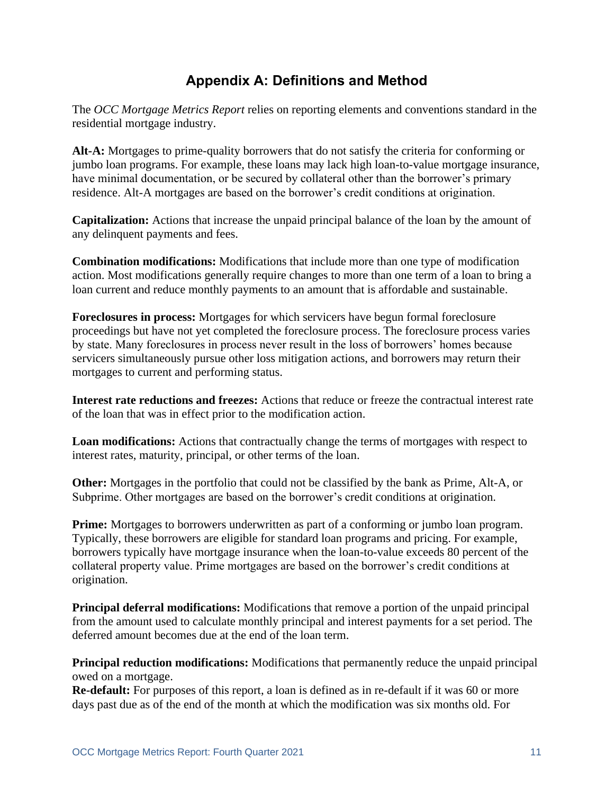### **Appendix A: Definitions and Method**

The *OCC Mortgage Metrics Report* relies on reporting elements and conventions standard in the residential mortgage industry.

**Alt-A:** Mortgages to prime-quality borrowers that do not satisfy the criteria for conforming or jumbo loan programs. For example, these loans may lack high loan-to-value mortgage insurance, have minimal documentation, or be secured by collateral other than the borrower's primary residence. Alt-A mortgages are based on the borrower's credit conditions at origination.

**Capitalization:** Actions that increase the unpaid principal balance of the loan by the amount of any delinquent payments and fees.

**Combination modifications:** Modifications that include more than one type of modification action. Most modifications generally require changes to more than one term of a loan to bring a loan current and reduce monthly payments to an amount that is affordable and sustainable.

**Foreclosures in process:** Mortgages for which servicers have begun formal foreclosure proceedings but have not yet completed the foreclosure process. The foreclosure process varies by state. Many foreclosures in process never result in the loss of borrowers' homes because servicers simultaneously pursue other loss mitigation actions, and borrowers may return their mortgages to current and performing status.

**Interest rate reductions and freezes:** Actions that reduce or freeze the contractual interest rate of the loan that was in effect prior to the modification action.

**Loan modifications:** Actions that contractually change the terms of mortgages with respect to interest rates, maturity, principal, or other terms of the loan.

**Other:** Mortgages in the portfolio that could not be classified by the bank as Prime, Alt-A, or Subprime. Other mortgages are based on the borrower's credit conditions at origination.

**Prime:** Mortgages to borrowers underwritten as part of a conforming or jumbo loan program. Typically, these borrowers are eligible for standard loan programs and pricing. For example, borrowers typically have mortgage insurance when the loan-to-value exceeds 80 percent of the collateral property value. Prime mortgages are based on the borrower's credit conditions at origination.

**Principal deferral modifications:** Modifications that remove a portion of the unpaid principal from the amount used to calculate monthly principal and interest payments for a set period. The deferred amount becomes due at the end of the loan term.

**Principal reduction modifications:** Modifications that permanently reduce the unpaid principal owed on a mortgage.

**Re-default:** For purposes of this report, a loan is defined as in re-default if it was 60 or more days past due as of the end of the month at which the modification was six months old. For